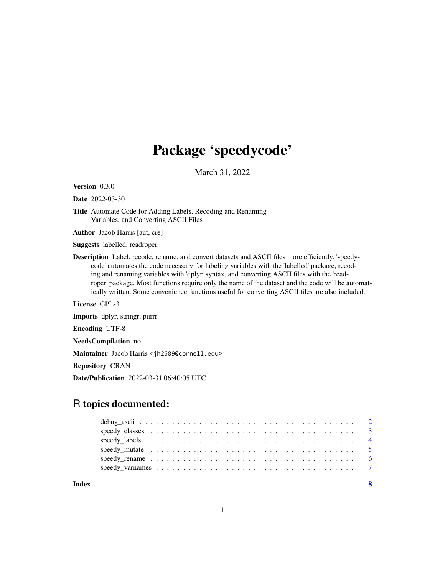## Package 'speedycode'

March 31, 2022

Version 0.3.0

Date 2022-03-30

Title Automate Code for Adding Labels, Recoding and Renaming Variables, and Converting ASCII Files

Author Jacob Harris [aut, cre]

Suggests labelled, readroper

Description Label, recode, rename, and convert datasets and ASCII files more efficiently. 'speedycode' automates the code necessary for labeling variables with the 'labelled' package, recoding and renaming variables with 'dplyr' syntax, and converting ASCII files with the 'readroper' package. Most functions require only the name of the dataset and the code will be automatically written. Some convenience functions useful for converting ASCII files are also included.

License GPL-3

Imports dplyr, stringr, purrr

Encoding UTF-8

NeedsCompilation no

Maintainer Jacob Harris <jh2689@cornell.edu>

Repository CRAN

Date/Publication 2022-03-31 06:40:05 UTC

### R topics documented:

| Index |  |
|-------|--|
|       |  |
|       |  |
|       |  |
|       |  |
|       |  |
|       |  |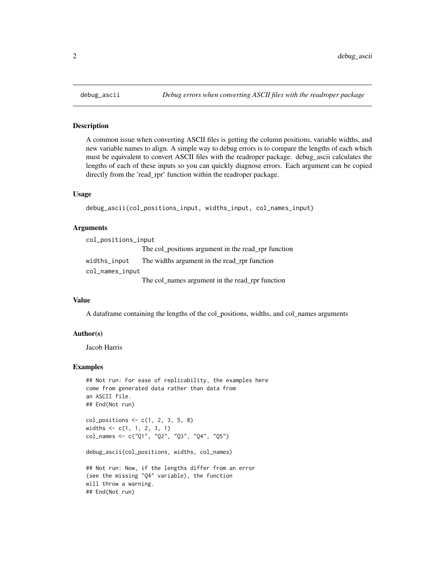#### Description

A common issue when converting ASCII files is getting the column positions, variable widths, and new variable names to align. A simple way to debug errors is to compare the lengths of each which must be equivalent to convert ASCII files with the readroper package. debug\_ascii calculates the lengths of each of these inputs so you can quickly diagnose errors. Each argument can be copied directly from the 'read\_rpr' function within the readroper package.

#### Usage

```
debug_ascii(col_positions_input, widths_input, col_names_input)
```
#### **Arguments**

| col_positions_input |                                                     |
|---------------------|-----------------------------------------------------|
|                     | The col_positions argument in the read_rpr function |
| widths_input        | The widths argument in the read rpr function        |
| col_names_input     |                                                     |
|                     | The col_names argument in the read_rpr function     |

#### Value

A dataframe containing the lengths of the col\_positions, widths, and col\_names arguments

#### Author(s)

Jacob Harris

#### Examples

```
## Not run: For ease of replicability, the examples here
come from generated data rather than data from
an ASCII file.
## End(Not run)
col_{-} positions \leq c(1, 2, 3, 5, 8)widths \leq c(1, 1, 2, 3, 1)col_names <- c("Q1", "Q2", "Q3", "Q4", "Q5")
debug_ascii(col_positions, widths, col_names)
## Not run: Now, if the lengths differ from an error
(see the missing "Q4" variable), the function
will throw a warning.
## End(Not run)
```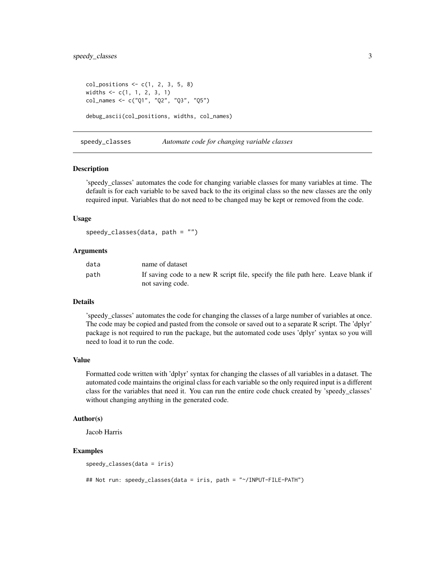```
col_{-} positions \leq c(1, 2, 3, 5, 8)widths <- c(1, 1, 2, 3, 1)
col_names <- c("Q1", "Q2", "Q3", "Q5")
debug_ascii(col_positions, widths, col_names)
```
speedy\_classes *Automate code for changing variable classes*

#### **Description**

'speedy\_classes' automates the code for changing variable classes for many variables at time. The default is for each variable to be saved back to the its original class so the new classes are the only required input. Variables that do not need to be changed may be kept or removed from the code.

#### Usage

speedy\_classes(data, path = "")

#### Arguments

| data | name of dataset                                                                   |
|------|-----------------------------------------------------------------------------------|
| path | If saving code to a new R script file, specify the file path here. Leave blank if |
|      | not saving code.                                                                  |

#### Details

'speedy\_classes' automates the code for changing the classes of a large number of variables at once. The code may be copied and pasted from the console or saved out to a separate R script. The 'dplyr' package is not required to run the package, but the automated code uses 'dplyr' syntax so you will need to load it to run the code.

#### Value

Formatted code written with 'dplyr' syntax for changing the classes of all variables in a dataset. The automated code maintains the original class for each variable so the only required input is a different class for the variables that need it. You can run the entire code chuck created by 'speedy\_classes' without changing anything in the generated code.

#### Author(s)

Jacob Harris

#### Examples

```
speedy_classes(data = iris)
## Not run: speedy_classes(data = iris, path = "~/INPUT-FILE-PATH")
```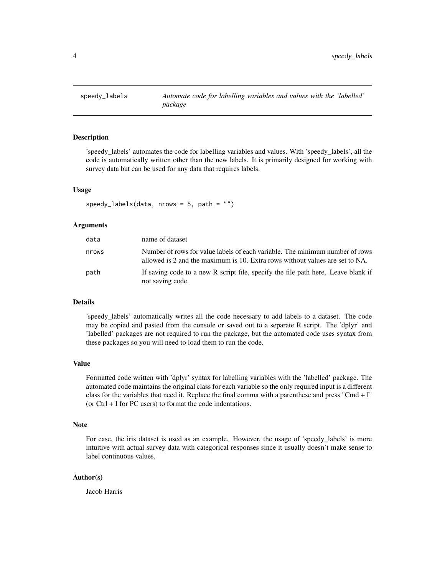<span id="page-3-0"></span>

#### Description

'speedy\_labels' automates the code for labelling variables and values. With 'speedy\_labels', all the code is automatically written other than the new labels. It is primarily designed for working with survey data but can be used for any data that requires labels.

#### Usage

```
speedy_labels(data, nrows = 5, path = "")
```
#### Arguments

| data  | name of dataset                                                                                                                                              |
|-------|--------------------------------------------------------------------------------------------------------------------------------------------------------------|
| nrows | Number of rows for value labels of each variable. The minimum number of rows<br>allowed is 2 and the maximum is 10. Extra rows without values are set to NA. |
| path  | If saving code to a new R script file, specify the file path here. Leave blank if<br>not saving code.                                                        |

#### Details

'speedy\_labels' automatically writes all the code necessary to add labels to a dataset. The code may be copied and pasted from the console or saved out to a separate R script. The 'dplyr' and 'labelled' packages are not required to run the package, but the automated code uses syntax from these packages so you will need to load them to run the code.

#### Value

Formatted code written with 'dplyr' syntax for labelling variables with the 'labelled' package. The automated code maintains the original class for each variable so the only required input is a different class for the variables that need it. Replace the final comma with a parenthese and press "Cmd + I" (or Ctrl + I for PC users) to format the code indentations.

#### **Note**

For ease, the iris dataset is used as an example. However, the usage of 'speedy\_labels' is more intuitive with actual survey data with categorical responses since it usually doesn't make sense to label continuous values.

#### Author(s)

Jacob Harris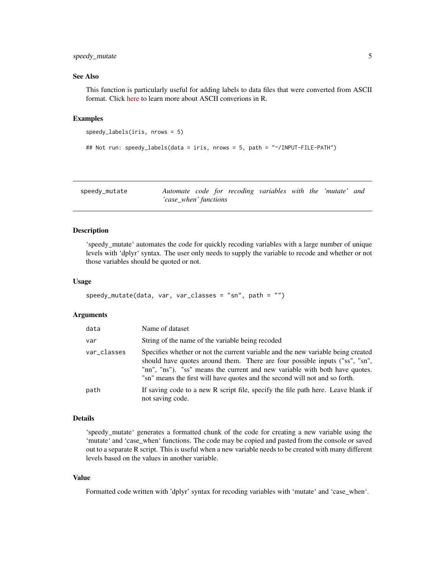#### <span id="page-4-0"></span>speedy\_mutate 5

#### See Also

This function is particularly useful for adding labels to data files that were converted from ASCII format. Click [here](https://jacob-harris.com/) to learn more about ASCII converions in R.

#### Examples

```
speedy_labels(iris, nrows = 5)
```

```
## Not run: speedy_labels(data = iris, nrows = 5, path = "~/INPUT-FILE-PATH")
```

| speedy_mutate | Automate code for recoding variables with the 'mutate' and |  |  |  |  |
|---------------|------------------------------------------------------------|--|--|--|--|
|               | 'case_when' functions                                      |  |  |  |  |

#### Description

'speedy\_mutate' automates the code for quickly recoding variables with a large number of unique levels with 'dplyr' syntax. The user only needs to supply the variable to recode and whether or not those variables should be quoted or not.

#### Usage

```
speedy_mutate(data, var, var_classes = "sn", path = "")
```
#### Arguments

| data        | Name of dataset                                                                                                                                                                                                                                                                                                               |
|-------------|-------------------------------------------------------------------------------------------------------------------------------------------------------------------------------------------------------------------------------------------------------------------------------------------------------------------------------|
| var         | String of the name of the variable being recoded                                                                                                                                                                                                                                                                              |
| var_classes | Specifies whether or not the current variable and the new variable being created<br>should have quotes around them. There are four possible inputs ("ss", "sn",<br>"nn", "ns"). "ss" means the current and new variable with both have quotes.<br>"sn" means the first will have quotes and the second will not and so forth. |
| path        | If saving code to a new R script file, specify the file path here. Leave blank if<br>not saving code.                                                                                                                                                                                                                         |

#### Details

'speedy\_mutate' generates a formatted chunk of the code for creating a new variable using the 'mutate' and 'case\_when' functions. The code may be copied and pasted from the console or saved out to a separate R script. This is useful when a new variable needs to be created with many different levels based on the values in another variable.

#### Value

Formatted code written with 'dplyr' syntax for recoding variables with 'mutate' and 'case\_when'.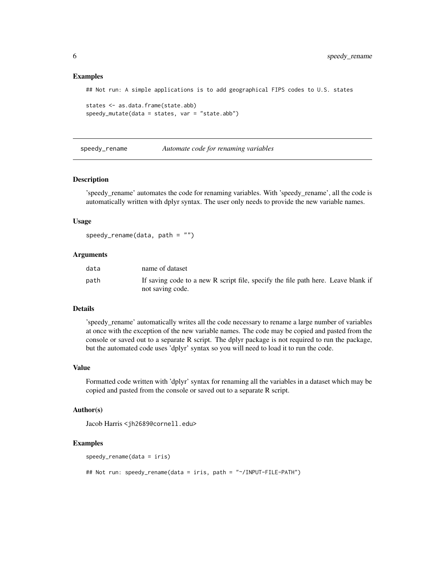#### <span id="page-5-0"></span>Examples

## Not run: A simple applications is to add geographical FIPS codes to U.S. states

```
states <- as.data.frame(state.abb)
speedy_mutate(data = states, var = "state.abb")
```
speedy\_rename *Automate code for renaming variables*

#### Description

'speedy\_rename' automates the code for renaming variables. With 'speedy\_rename', all the code is automatically written with dplyr syntax. The user only needs to provide the new variable names.

#### Usage

```
speedy-rename(data, path = "")
```
#### Arguments

| data | name of dataset                                                                   |
|------|-----------------------------------------------------------------------------------|
| path | If saving code to a new R script file, specify the file path here. Leave blank if |
|      | not saving code.                                                                  |

#### Details

'speedy\_rename' automatically writes all the code necessary to rename a large number of variables at once with the exception of the new variable names. The code may be copied and pasted from the console or saved out to a separate R script. The dplyr package is not required to run the package, but the automated code uses 'dplyr' syntax so you will need to load it to run the code.

#### Value

Formatted code written with 'dplyr' syntax for renaming all the variables in a dataset which may be copied and pasted from the console or saved out to a separate R script.

#### Author(s)

```
Jacob Harris <jh2689@cornell.edu>
```
#### Examples

```
speedy_rename(data = iris)
```
## Not run: speedy\_rename(data = iris, path = "~/INPUT-FILE-PATH")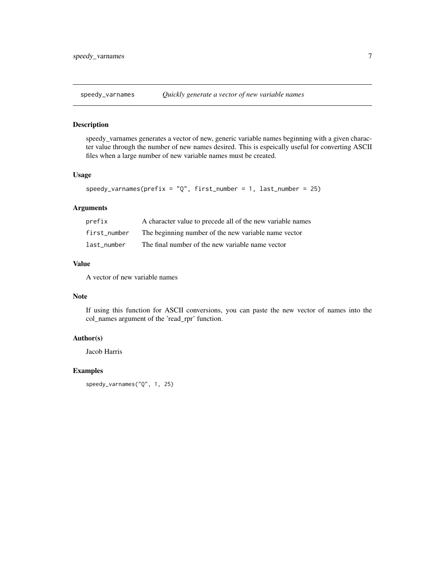<span id="page-6-0"></span>

#### Description

speedy\_varnames generates a vector of new, generic variable names beginning with a given character value through the number of new names desired. This is espeically useful for converting ASCII files when a large number of new variable names must be created.

#### Usage

```
speedy_{\text{varnames}}(prefix = "Q", first_{\text{number}} = 1, last_{\text{number}} = 25)
```
#### Arguments

| prefix       | A character value to precede all of the new variable names |
|--------------|------------------------------------------------------------|
| first number | The beginning number of the new variable name vector       |
| last number  | The final number of the new variable name vector           |

#### Value

A vector of new variable names

#### Note

If using this function for ASCII conversions, you can paste the new vector of names into the col\_names argument of the 'read\_rpr' function.

#### Author(s)

Jacob Harris

#### Examples

speedy\_varnames("Q", 1, 25)